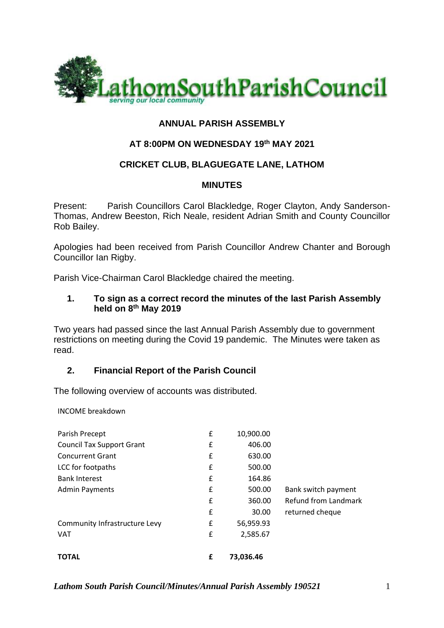

# **ANNUAL PARISH ASSEMBLY**

## **AT 8:00PM ON WEDNESDAY 19 th MAY 2021**

## **CRICKET CLUB, BLAGUEGATE LANE, LATHOM**

#### **MINUTES**

Present: Parish Councillors Carol Blackledge, Roger Clayton, Andy Sanderson-Thomas, Andrew Beeston, Rich Neale, resident Adrian Smith and County Councillor Rob Bailey.

Apologies had been received from Parish Councillor Andrew Chanter and Borough Councillor Ian Rigby.

Parish Vice-Chairman Carol Blackledge chaired the meeting.

#### **1. To sign as a correct record the minutes of the last Parish Assembly held on 8 th May 2019**

Two years had passed since the last Annual Parish Assembly due to government restrictions on meeting during the Covid 19 pandemic. The Minutes were taken as read.

#### **2. Financial Report of the Parish Council**

The following overview of accounts was distributed.

INCOME breakdown

| Parish Precept                   | £ | 10,900.00 |                      |
|----------------------------------|---|-----------|----------------------|
| <b>Council Tax Support Grant</b> | £ | 406.00    |                      |
| <b>Concurrent Grant</b>          | £ | 630.00    |                      |
| LCC for footpaths                | £ | 500.00    |                      |
| <b>Bank Interest</b>             | £ | 164.86    |                      |
| <b>Admin Payments</b>            | £ | 500.00    | Bank switch payment  |
|                                  | £ | 360.00    | Refund from Landmark |
|                                  | £ | 30.00     | returned cheque      |
| Community Infrastructure Levy    | £ | 56,959.93 |                      |
| <b>VAT</b>                       | £ | 2,585.67  |                      |
| <b>TOTAL</b>                     | £ | 73,036.46 |                      |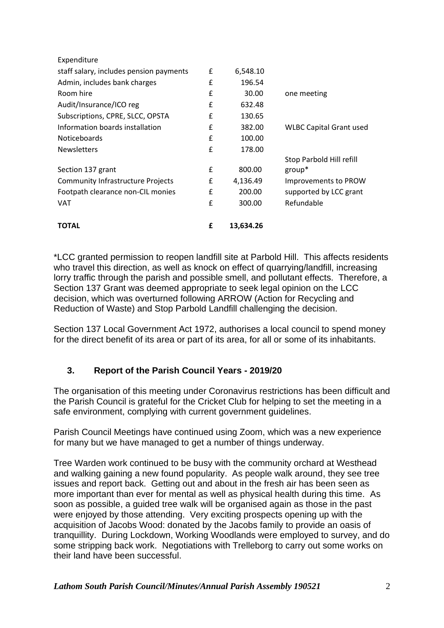| Footpath clearance non-CIL monies<br><b>VAT</b> | £      | 200.00<br>300.00 | supported by LCC grant<br>Refundable |
|-------------------------------------------------|--------|------------------|--------------------------------------|
| <b>Community Infrastructure Projects</b>        | £      | 4,136.49         | Improvements to PROW                 |
| Section 137 grant                               | £<br>f | 800.00           | $group^*$                            |
|                                                 |        |                  | Stop Parbold Hill refill             |
| <b>Newsletters</b>                              | £      | 178.00           |                                      |
| <b>Noticeboards</b>                             | f      | 100.00           |                                      |
| Information boards installation                 | £      | 382.00           | <b>WLBC Capital Grant used</b>       |
| Subscriptions, CPRE, SLCC, OPSTA                | £      | 130.65           |                                      |
| Audit/Insurance/ICO reg                         | £      | 632.48           |                                      |
| Room hire                                       | £      | 30.00            | one meeting                          |
| Admin, includes bank charges                    | £      | 196.54           |                                      |
| staff salary, includes pension payments         | £      | 6,548.10         |                                      |
| Expenditure                                     |        |                  |                                      |

\*LCC granted permission to reopen landfill site at Parbold Hill. This affects residents who travel this direction, as well as knock on effect of quarrying/landfill, increasing lorry traffic through the parish and possible smell, and pollutant effects. Therefore, a Section 137 Grant was deemed appropriate to seek legal opinion on the LCC decision, which was overturned following ARROW (Action for Recycling and Reduction of Waste) and Stop Parbold Landfill challenging the decision.

Section 137 Local Government Act 1972, authorises a local council to spend money for the direct benefit of its area or part of its area, for all or some of its inhabitants.

# **3. Report of the Parish Council Years - 2019/20**

The organisation of this meeting under Coronavirus restrictions has been difficult and the Parish Council is grateful for the Cricket Club for helping to set the meeting in a safe environment, complying with current government guidelines.

Parish Council Meetings have continued using Zoom, which was a new experience for many but we have managed to get a number of things underway.

Tree Warden work continued to be busy with the community orchard at Westhead and walking gaining a new found popularity. As people walk around, they see tree issues and report back. Getting out and about in the fresh air has been seen as more important than ever for mental as well as physical health during this time. As soon as possible, a guided tree walk will be organised again as those in the past were enjoyed by those attending. Very exciting prospects opening up with the acquisition of Jacobs Wood: donated by the Jacobs family to provide an oasis of tranquillity. During Lockdown, Working Woodlands were employed to survey, and do some stripping back work. Negotiations with Trelleborg to carry out some works on their land have been successful.